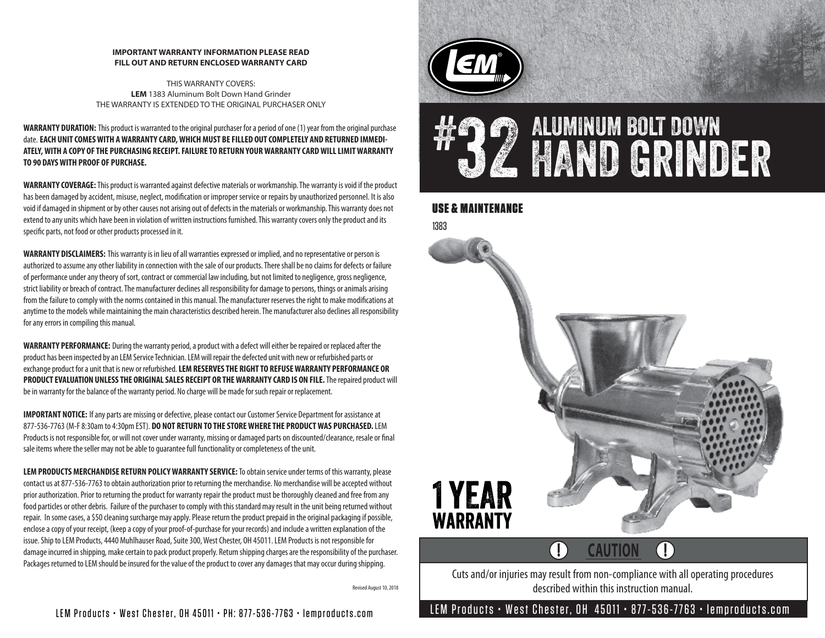#### **IMPORTANT WARRANTY INFORMATION PLEASE READ FILL OUT AND RETURN ENCLOSED WARRANTY CARD**

THIS WARRANTY COVERS: **LEM** 1383 Aluminum Bolt Down Hand Grinder THE WARRANTY IS EXTENDED TO THE ORIGINAL PURCHASER ONLY

**WARRANTY DURATION:** This product is warranted to the original purchaser for a period of one (1) year from the original purchase date. **EACH UNIT COMES WITH A WARRANTY CARD, WHICH MUST BE FILLED OUT COMPLETELY AND RETURNED IMMEDI-ATELY, WITH A COPY OF THE PURCHASING RECEIPT. FAILURE TO RETURN YOUR WARRANTY CARD WILL LIMIT WARRANTY TO 90 DAYS WITH PROOF OF PURCHASE.**

**WARRANTY COVERAGE:**This product is warranted against defective materials or workmanship. The warranty is void if the product has been damaged by accident, misuse, neglect, modification or improper service or repairs by unauthorized personnel. It is also void if damaged in shipment or by other causes not arising out of defects in the materials or workmanship. This warranty does not extend to any units which have been in violation of written instructions furnished. This warranty covers only the product and its specific parts, not food or other products processed in it.

**WARRANTY DISCLAIMERS:** This warranty is in lieu of all warranties expressed or implied, and no representative or person is authorized to assume any other liability in connection with the sale of our products. There shall be no claims for defects or failure of performance under any theory of sort, contract or commercial law including, but not limited to negligence, gross negligence, strict liability or breach of contract. The manufacturer declines all responsibility for damage to persons, things or animals arising from the failure to comply with the norms contained in this manual. The manufacturer reserves the right to make modifications at anytime to the models while maintaining the main characteristics described herein. The manufacturer also declines all responsibility for any errors in compiling this manual.

**WARRANTY PERFORMANCE:** During the warranty period, a product with a defect will either be repaired or replaced after the product has been inspected by an LEM Service Technician. LEM will repair the defected unit with new or refurbished parts or exchange product for a unit that is new or refurbished. **LEM RESERVES THE RIGHT TO REFUSE WARRANTY PERFORMANCE OR PRODUCT EVALUATION UNLESS THE ORIGINAL SALES RECEIPT OR THE WARRANTY CARD IS ON FILE.**The repaired product will be in warranty for the balance of the warranty period. No charge will be made for such repair or replacement.

**IMPORTANT NOTICE:** If any parts are missing or defective, please contact our Customer Service Department for assistance at 877-536-7763 (M-F 8:30am to 4:30pm EST). **DO NOT RETURN TO THE STORE WHERE THE PRODUCT WAS PURCHASED.** LEM Products is not responsible for, or will not cover under warranty, missing or damaged parts on discounted/clearance, resale or final sale items where the seller may not be able to guarantee full functionality or completeness of the unit.

**LEM PRODUCTS MERCHANDISE RETURN POLICY WARRANTY SERVICE:**To obtain service under terms of this warranty, please contact us at 877-536-7763 to obtain authorization prior to returning the merchandise. No merchandise will be accepted without prior authorization. Prior to returning the product for warranty repair the product must be thoroughly cleaned and free from any food particles or other debris. Failure of the purchaser to comply with this standard may result in the unit being returned without repair. In some cases, a \$50 cleaning surcharge may apply. Please return the product prepaid in the original packaging if possible, enclose a copy of your receipt, (keep a copy of your proof-of-purchase for your records) and include a written explanation of the issue. Ship to LEM Products, 4440 Muhlhauser Road, Suite 300, West Chester, OH 45011. LEM Products is not responsible for damage incurred in shipping, make certain to pack product properly. Return shipping charges are the responsibility of the purchaser. Packages returned to LEM should be insured for the value of the product to cover any damages that may occur during shipping.

Revised August 10, 2018





### USE & MAINTENANCE



#### $\left( \Gamma\right)$  $\left( \begin{matrix} \cdot & \cdot \\ \cdot & \cdot \end{matrix} \right)$ **CAUTION**

Cuts and/or injuries may result from non-compliance with all operating procedures described within this instruction manual.

LEM Products • West Chester, OH 45011 • PH: 877-536-7763 • lemproducts.com LEM Products • West Chester, OH 45011 • 877-536-7763 • lemproducts.com